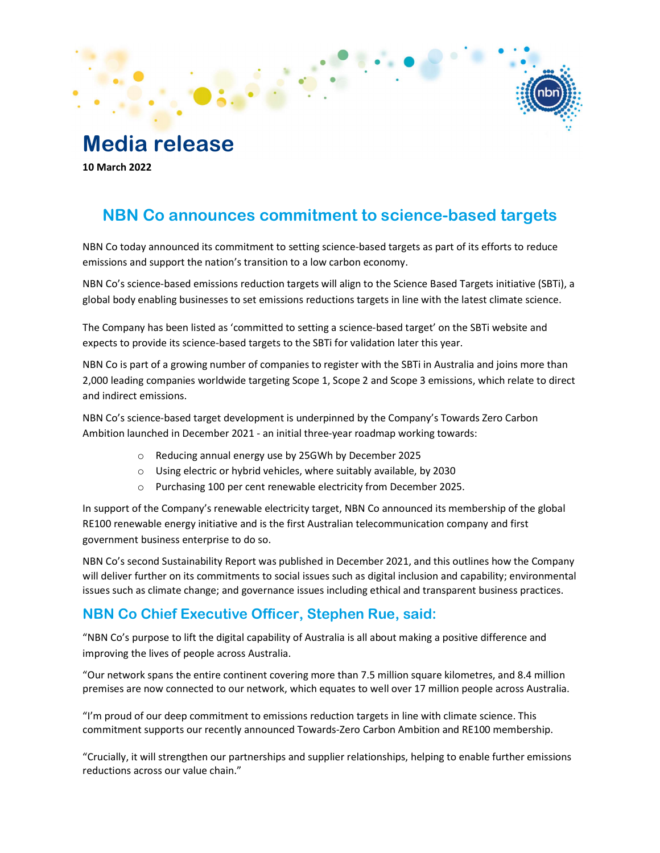# Media release

10 March 2022

## NBN Co announces commitment to science-based targets

NBN Co today announced its commitment to setting science-based targets as part of its efforts to reduce emissions and support the nation's transition to a low carbon economy.

NBN Co's science-based emissions reduction targets will align to the Science Based Targets initiative (SBTi), a global body enabling businesses to set emissions reductions targets in line with the latest climate science. The Company has been listed as 'committed to setting a science-based target' on the SBTi website and

expects to provide its science-based targets to the SBTi for validation later this year.

NBN Co is part of a growing number of companies to register with the SBTi in Australia and joins more than 2,000 leading companies worldwide targeting Scope 1, Scope 2 and Scope 3 emissions, which relate to direct and indirect emissions.

NBN Co's science-based target development is underpinned by the Company's Towards Zero Carbon Ambition launched in December 2021 - an initial three-year roadmap working towards:

- o Reducing annual energy use by 25GWh by December 2025
- o Using electric or hybrid vehicles, where suitably available, by 2030
- o Purchasing 100 per cent renewable electricity from December 2025.

In support of the Company's renewable electricity target, NBN Co announced its membership of the global RE100 renewable energy initiative and is the first Australian telecommunication company and first government business enterprise to do so.

NBN Co's second Sustainability Report was published in December 2021, and this outlines how the Company will deliver further on its commitments to social issues such as digital inclusion and capability; environmental issues such as climate change; and governance issues including ethical and transparent business practices.

### NBN Co Chief Executive Officer, Stephen Rue, said:

"NBN Co's purpose to lift the digital capability of Australia is all about making a positive difference and improving the lives of people across Australia.

"Our network spans the entire continent covering more than 7.5 million square kilometres, and 8.4 million premises are now connected to our network, which equates to well over 17 million people across Australia.

"I'm proud of our deep commitment to emissions reduction targets in line with climate science. This commitment supports our recently announced Towards-Zero Carbon Ambition and RE100 membership.

"Crucially, it will strengthen our partnerships and supplier relationships, helping to enable further emissions reductions across our value chain."